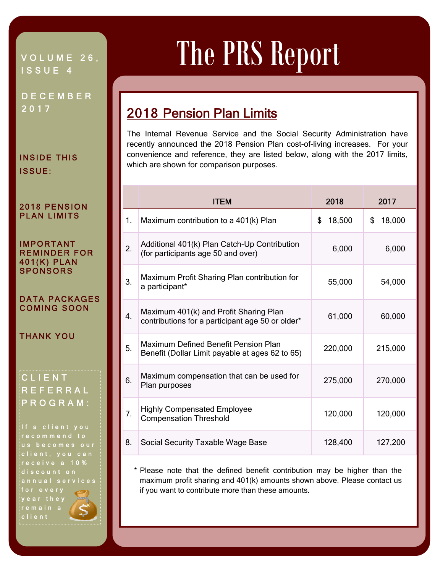### VOLUME 26, ISSUE 4

DECEMBER 2017

#### INSIDE THIS ISSUE:

#### 2018 PENSION PLAN LIMITS

#### IMPORTANT REMINDER FOR 401(K) PLAN **SPONSORS**

#### DATA PACKAGES COMING SOON

THANK YOU

## CLIENT REFERRAL PROGRAM:

If a client you recommend to us becomes our client, you can receive a 10% discount on annual services for every year they remain a client

# The PRS Report

# 2018 Pension Plan Limits

The Internal Revenue Service and the Social Security Administration have recently announced the 2018 Pension Plan cost-of-living increases. For your convenience and reference, they are listed below, along with the 2017 limits, which are shown for comparison purposes.

Ī

|    | <b>ITEM</b>                                                                                | 2018         | 2017         |
|----|--------------------------------------------------------------------------------------------|--------------|--------------|
| 1. | Maximum contribution to a 401(k) Plan                                                      | 18,500<br>\$ | \$<br>18,000 |
| 2. | Additional 401(k) Plan Catch-Up Contribution<br>(for participants age 50 and over)         | 6,000        | 6,000        |
| 3. | Maximum Profit Sharing Plan contribution for<br>a participant*                             | 55,000       | 54,000       |
| 4. | Maximum 401(k) and Profit Sharing Plan<br>contributions for a participant age 50 or older* | 61,000       | 60,000       |
| 5. | Maximum Defined Benefit Pension Plan<br>Benefit (Dollar Limit payable at ages 62 to 65)    | 220,000      | 215,000      |
| 6. | Maximum compensation that can be used for<br>Plan purposes                                 | 275,000      | 270,000      |
| 7. | <b>Highly Compensated Employee</b><br><b>Compensation Threshold</b>                        | 120,000      | 120,000      |
| 8. | Social Security Taxable Wage Base                                                          | 128,400      | 127,200      |

 \* Please note that the defined benefit contribution may be higher than the maximum profit sharing and 401(k) amounts shown above. Please contact us if you want to contribute more than these amounts.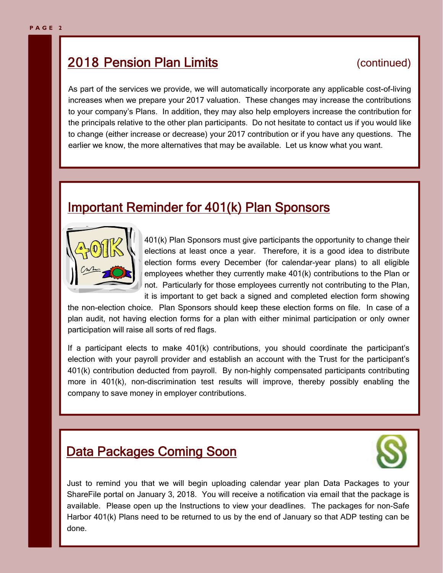# **2018 Pension Plan Limits** (continued)

As part of the services we provide, we will automatically incorporate any applicable cost-of-living increases when we prepare your 2017 valuation. These changes may increase the contributions to your company's Plans. In addition, they may also help employers increase the contribution for the principals relative to the other plan participants. Do not hesitate to contact us if you would like to change (either increase or decrease) your 2017 contribution or if you have any questions. The earlier we know, the more alternatives that may be available. Let us know what you want.

# Important Reminder for 401(k) Plan Sponsors



401(k) Plan Sponsors must give participants the opportunity to change their elections at least once a year. Therefore, it is a good idea to distribute election forms every December (for calendar-year plans) to all eligible employees whether they currently make 401(k) contributions to the Plan or not. Particularly for those employees currently not contributing to the Plan, it is important to get back a signed and completed election form showing

the non-election choice. Plan Sponsors should keep these election forms on file. In case of a plan audit, not having election forms for a plan with either minimal participation or only owner participation will raise all sorts of red flags.

If a participant elects to make 401(k) contributions, you should coordinate the participant's election with your payroll provider and establish an account with the Trust for the participant's 401(k) contribution deducted from payroll. By non-highly compensated participants contributing more in 401(k), non-discrimination test results will improve, thereby possibly enabling the company to save money in employer contributions.

# **Data Packages Coming Soon**



Just to remind you that we will begin uploading calendar year plan Data Packages to your ShareFile portal on January 3, 2018. You will receive a notification via email that the package is available. Please open up the Instructions to view your deadlines. The packages for non-Safe Harbor 401(k) Plans need to be returned to us by the end of January so that ADP testing can be done.